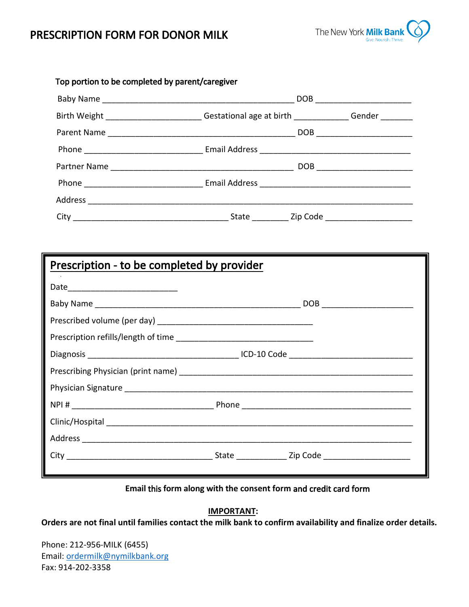# PRESCRIPTION FORM FOR DONOR MILK



| Top portion to be completed by parent/caregiver                                            |  |  |                               |  |  |  |
|--------------------------------------------------------------------------------------------|--|--|-------------------------------|--|--|--|
|                                                                                            |  |  |                               |  |  |  |
| Birth Weight ________________________Gestational age at birth _____________Gender ________ |  |  |                               |  |  |  |
|                                                                                            |  |  |                               |  |  |  |
|                                                                                            |  |  |                               |  |  |  |
|                                                                                            |  |  | DOB _________________________ |  |  |  |
|                                                                                            |  |  |                               |  |  |  |
|                                                                                            |  |  |                               |  |  |  |
|                                                                                            |  |  |                               |  |  |  |

| Prescription - to be completed by provider |  |  |  |  |
|--------------------------------------------|--|--|--|--|
|                                            |  |  |  |  |
|                                            |  |  |  |  |
|                                            |  |  |  |  |
|                                            |  |  |  |  |
|                                            |  |  |  |  |
|                                            |  |  |  |  |
|                                            |  |  |  |  |
|                                            |  |  |  |  |
|                                            |  |  |  |  |
|                                            |  |  |  |  |
|                                            |  |  |  |  |
|                                            |  |  |  |  |

#### **Email** this **form along with the consent form** and credit card form

### **IMPORTANT:**

**Orders are not final until families contact the milk bank to confirm availability and finalize order details.** 

Phone: 212-956-MILK (6455) Email: ordermilk@nymilkbank.org Fax: 914-202-3358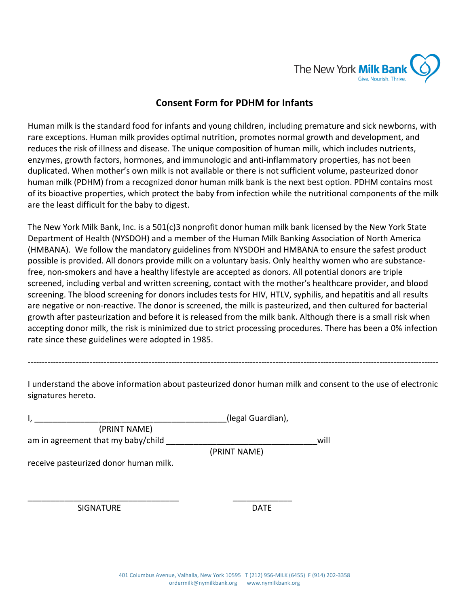

## **Consent Form for PDHM for Infants**

Human milk is the standard food for infants and young children, including premature and sick newborns, with rare exceptions. Human milk provides optimal nutrition, promotes normal growth and development, and reduces the risk of illness and disease. The unique composition of human milk, which includes nutrients, enzymes, growth factors, hormones, and immunologic and anti-inflammatory properties, has not been duplicated. When mother's own milk is not available or there is not sufficient volume, pasteurized donor human milk (PDHM) from a recognized donor human milk bank is the next best option. PDHM contains most of its bioactive properties, which protect the baby from infection while the nutritional components of the milk are the least difficult for the baby to digest.

The New York Milk Bank, Inc. is a 501(c)3 nonprofit donor human milk bank licensed by the New York State Department of Health (NYSDOH) and a member of the Human Milk Banking Association of North America (HMBANA). We follow the mandatory guidelines from NYSDOH and HMBANA to ensure the safest product possible is provided. All donors provide milk on a voluntary basis. Only healthy women who are substancefree, non-smokers and have a healthy lifestyle are accepted as donors. All potential donors are triple screened, including verbal and written screening, contact with the mother's healthcare provider, and blood screening. The blood screening for donors includes tests for HIV, HTLV, syphilis, and hepatitis and all results are negative or non-reactive. The donor is screened, the milk is pasteurized, and then cultured for bacterial growth after pasteurization and before it is released from the milk bank. Although there is a small risk when accepting donor milk, the risk is minimized due to strict processing procedures. There has been a 0% infection rate since these guidelines were adopted in 1985.

I understand the above information about pasteurized donor human milk and consent to the use of electronic signatures hereto.

--------------------------------------------------------------------------------------------------------------------------------------------------

|                                       | (legal Guardian), |      |
|---------------------------------------|-------------------|------|
| (PRINT NAME)                          |                   |      |
| am in agreement that my baby/child    |                   | will |
|                                       | (PRINT NAME)      |      |
| receive pasteurized donor human milk. |                   |      |

SIGNATURE DATE

\_\_\_\_\_\_\_\_\_\_\_\_\_\_\_\_\_\_\_\_\_\_\_\_\_\_\_\_\_\_\_\_\_ \_\_\_\_\_\_\_\_\_\_\_\_\_